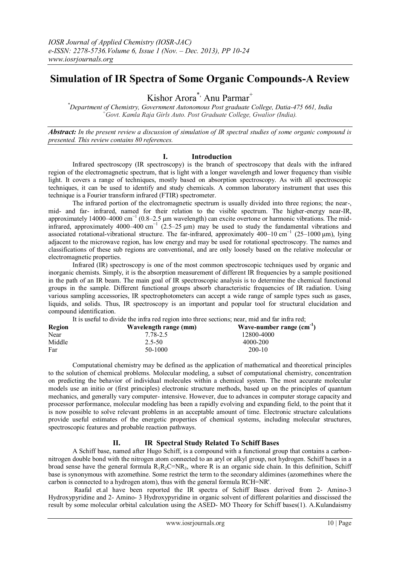# **Simulation of IR Spectra of Some Organic Compounds-A Review**

Kishor Arora<sup>\*,</sup> Anu Parmar<sup>+</sup>

*\*Department of Chemistry, Government Autonomous Post graduate College, Datia-475 661, India <sup>+</sup>Govt. Kamla Raja Girls Auto. Post Graduate College, Gwalior (India).*

*Abstract: In the present review a discussion of simulation of IR spectral studies of some organic compound is presented. This review contains 80 references.*

### **I. Introduction**

Infrared spectroscopy (IR spectroscopy) is the branch of [spectroscopy](https://en.wikipedia.org/wiki/Spectroscopy) that deals with the [infrared](https://en.wikipedia.org/wiki/Infrared) region of the [electromagnetic spectrum,](https://en.wikipedia.org/wiki/Electromagnetic_spectrum) that is light with a longer [wavelength](https://en.wikipedia.org/wiki/Wavelength) and lower [frequency](https://en.wikipedia.org/wiki/Frequency) than [visible](https://en.wikipedia.org/wiki/Visible_light)  [light.](https://en.wikipedia.org/wiki/Visible_light) It covers a range of techniques, mostly based on [absorption spectroscopy.](https://en.wikipedia.org/wiki/Absorption_spectroscopy) As with all spectroscopic techniques, it can be used to identify and study [chemicals.](https://en.wikipedia.org/wiki/Chemical) A common laboratory instrument that uses this technique is [a Fourier transform infrared](https://en.wikipedia.org/wiki/Fourier_transform_infrared_spectroscopy) (FTIR) [spectrometer.](https://en.wikipedia.org/wiki/Spectrometer)

The infrared portion of the electromagnetic spectrum is usually divided into three regions; the near-, mid- and far- infrared, named for their relation to the visible spectrum. The higher-energy near-IR, approximately 14000–4000 cm<sup>-1</sup> (0.8–2.5 µm wavelength) can excite [overtone](https://en.wikipedia.org/wiki/Overtones) or [harmonic](https://en.wikipedia.org/wiki/Harmonic_%28mathematics%29) vibrations. The midinfrared, approximately 4000–400 cm<sup>-1</sup> (2.5–25 µm) may be used to study the fundamental vibrations and associated [rotational-vibrational](https://en.wikipedia.org/wiki/Rotational-vibrational_spectroscopy) structure. The far-infrared, approximately 400–10 [cm](https://en.wikipedia.org/wiki/Wavenumber)<sup>-1</sup> (25–1000 μm), lying adjacent to the [microwave](https://en.wikipedia.org/wiki/Microwave) region, has low energy and may be used for [rotational spectroscopy.](https://en.wikipedia.org/wiki/Rotational_spectroscopy) The names and classifications of these sub regions are conventional, and are only loosely based on the relative molecular or electromagnetic properties.

Infrared (IR) spectroscopy is one of the most common spectroscopic techniques used by organic and inorganic chemists. Simply, it is the absorption measurement of different IR frequencies by a sample positioned in the path of an IR beam. The main goal of IR spectroscopic analysis is to determine the chemical functional groups in the sample. Different functional groups absorb characteristic frequencies of IR radiation. Using various sampling accessories, IR spectrophotometers can accept a wide range of sample types such as gases, liquids, and solids. Thus, IR spectroscopy is an important and popular tool for structural elucidation and compound identification.

It is useful to divide the infra red region into three sections; near, mid and far infra red;

| Wavelength range (mm) | Wave-number range $(cm^{-1})$ |
|-----------------------|-------------------------------|
| 7.78-2.5              | 12800-4000                    |
| $2.5 - 50$            | 4000-200                      |
| 50-1000               | $200-10$                      |
|                       |                               |

Computational chemistry may be defined as the application of mathematical and theoretical principles to the solution of chemical problems. Molecular modeling, a subset of computational chemistry, concentration on predicting the behavior of individual molecules within a chemical system. The most accurate molecular models use an initio or (first principles) electronic structure methods, based up on the principles of quantum mechanics, and generally vary computer- intensive. However, due to advances in computer storage capacity and processor performance, molecular modeling has been a rapidly evolving and expanding field, to the point that it is now possible to solve relevant problems in an acceptable amount of time. Electronic structure calculations provide useful estimates of the energetic properties of chemical systems, including molecular structures, spectroscopic features and probable reaction pathways.

## **II. IR Spectral Study Related To Schiff Bases**

A Schiff base, named after [Hugo Schiff,](http://en.wikipedia.org/wiki/Hugo_Schiff) is a compound with a [functional group](http://en.wikipedia.org/wiki/Functional_group) that contains a [carbon](http://en.wikipedia.org/wiki/Carbon)[nitrogen](http://en.wikipedia.org/wiki/Nitrogen) [double bond](http://en.wikipedia.org/wiki/Double_bond) with the nitrogen atom connected to an [aryl](http://en.wikipedia.org/wiki/Aryl) or [alkyl](http://en.wikipedia.org/wiki/Alkyl) group, no[t hydrogen.](http://en.wikipedia.org/wiki/Hydrogen) Schiff bases in a broad sense have the general formula  $R_1R_2C=NR_3$ , where R is an [organic](http://en.wikipedia.org/wiki/Organic_compound) side chain. In this definition, Schiff base is synonymous with azomethine. Some restrict the term to the secondar[y aldimines](http://en.wikipedia.org/wiki/Aldimine) (azomethines where the carbon is connected to a hydrogen atom), thus with the general formula RCH=NR'.

Raafal et.al have been reported the IR spectra of Schiff Bases derived from 2- Amino-3 Hydroxypyridine and 2- Amino- 3 Hydroxypyridine in organic solvent of different polarities and disscissed the result by some molecular orbital calculation using the ASED- MO Theory for Schiff bases(1). A.Kulandaismy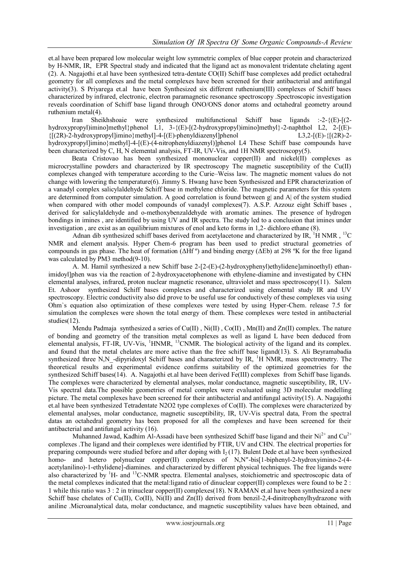et.al have been prepared low molecular weight low symmetric complex of blue copper protein and characterized by H-NMR, IR, EPR Spectral study and indicated that the ligand act as monovalent tridentate chelating agent (2). A. Nagajothi et.al have been synthesized tetra-dentate CO(II) Schiff base complexes add predict octahedral geometry for all complexes and the metal complexes have been screened for their antibacterial and antifungal activity(3). S Priyarega et.al have been Synthesized six different ruthenium(III) complexes of Schiff bases characterized by infrared, electronic, electron paramagnetic resonance spectroscopy .Spectroscopic investigation reveals coordination of Schiff base ligand through ONO/ONS donor atoms and octahedral geometry around ruthenium metal(4).

 Iran Sheikhshoaie were synthesized multifunctional Schiff base ligands :-2-{(E)-[(2 hydroxypropyl)imino]methyl}phenol L1, 3-{(E)-[(2-hydroxypropyl)imino]methyl}-2-naphthol L2, 2-[(E)- $\{(2R)-2-hydroxypropy1|imino\}$ methyl $]-4-[(E)-phenyldiazeny1]$ phenol L3,2- $[(E)-\{(2R)-2-hyqIq]$ hydroxypropyl]imino}methyl]-4-[(E)-(4-nitrophenyldiazenyl)]phenol L4 These Schiff base compounds have been characterized by C, H, N elemental analysis, FT-IR, UV-Vis, and 1H NMR spectroscopy(5).

 Beata Cristovao has been synthesized mononuclear copper(II) and nickel(II) complexes as microcrystalline powders and characterized by IR spectroscopy The magnetic susceptibility of the Cu(II) complexes changed with temperature according to the Curie–Weiss law. The magnetic moment values do not change with lowering the temperature(6). Jimmy S. Hwang have been Synthesiszed and EPR characterization of a vanadyl complex salicylaldehyde Schiff base in methylene chloride. The magnetic parameters for this system are determined from computer simulation. A good correlation is found between g| and A| of the system studied when compared with other model compounds of vanadyl complexes(7). A.S.P. Azzouz eight Schiff bases , derived for salicylaldehyde and o-methoxybenzaldehyde with aromatic amines. The presence of hydrogen bondings in imines , are identified by using UV and IR spectra. The study led to a conclusion that imines under investigation , are exist as an equilibrium mixtures of enol and keto forms in 1,2- dichloro ethane (8).

Adnan dib synthesized schiff bases derived from acetylacetone and characterized by IR,  ${}^{1}H$  NMR,  ${}^{13}C$ NMR and element analysis. Hyper Chem-6 program has been used to predict structural geometries of compounds in gas phase. The heat of formation ( $\Delta Hf^{\circ}$ ) and binding energy ( $\Delta Eb$ ) at 298 °K for the free ligand was calculated by PM3 method(9-10).

A. M. Hamil synthesized a new Schiff base 2-[2-(E)-(2-hydroxyphenyl)ethylidene]aminoethyl) ethanimidoyl]phen was via the reaction of 2-hydroxyacetophenone with ethylene-diamine and investigated by CHN elemental analyses, infrared, proton nuclear magnetic resonance, ultraviolet and mass spectroscopy(11). Salem Et. Ashoor synthesized Schiff bases complexes and characterized using elemental study IR and UV spectroscopy. Electric conductivity also did prove to be useful use for conductively of these complexes via using Ohm`s equation also optimization of these complexes were tested by using Hyper-Chem. release 7.5 for simulation the complexes were shown the total energy of them. These complexes were tested in antibacterial studies(12).

Mendu Padmaja synthesized a series of Cu(II), Ni(II), Co(II), Mn(II) and Zn(II) complex. The nature of bonding and geometry of the transition metal complexes as well as ligand L have been deduced from elemental analysis, FT-IR, UV-Vis, <sup>1</sup>HNMR, <sup>13</sup>CNMR. The biological activity of the ligand and its complex. and found that the metal chelates are more active than the free schiff base ligand(13). S. Ali Beyramabadia synthesized three N,N -dipyridoxyl Schiff bases and characterized by IR, <sup>1</sup>H NMR, mass spectrometry. The theoretical results and experimental evidence confirms suitability of the optimized geometries for the synthesized Schiff bases(14). A. Nagajothi et.al have been derived Fe(III) complexes from Schiff base ligands. The complexes were characterized by elemental analyses, molar conductance, magnetic susceptibility, IR, UV-Vis spectral data.The possible geometries of metal complex were evaluated using 3D molecular modelling picture. The metal complexes have been screened for their antibacterial and antifungal activity(15). A. Nagajothi et.al have been synthesized Tetradentate N2O2 type complexes of Co(II). The complexes were characterized by elemental analyses, molar conductance, magnetic susceptibility, IR, UV-Vis spectral data, From the spectral datas an octahedral geometry has been proposed for all the complexes and have been screened for their antibacterial and antifungal activity (16).

Muhanned Jawad, Kadhim Al-Assadi have been synthesized Schiff base ligand and their  $Ni^{2+}$  and  $Cu^{2+}$ complexes .The ligand and their complexes were identified by FTIR, UV and CHN. The electrical properties for preparing compounds were studied before and after doping with  $I_2$  (17). Bulent Dede et.al have been synthesized homo- and hetero polynuclear copper(II) complexes of N,N"-bis[1-biphenyl-2-hydroxyimino-2-(4acetylanilino)-1-ethylidene]-diamines. and characterized by different physical techniques. The free ligands were also characterized by <sup>1</sup>H- and <sup>13</sup>C-NMR spectra. Elemental analyses, stoichiometric and spectroscopic data of the metal complexes indicated that the metal:ligand ratio of dinuclear copper(II) complexes were found to be  $2$ : 1 while this ratio was 3 : 2 in trinuclear copper(II) complexes(18). N RAMAN et.al have been synthesized a new Schiff base chelates of Cu(II), Co(II), Ni(II) and Zn(II) derived from benzil-2,4-dinitrophenylhydrazone with aniline .Microanalytical data, molar conductance, and magnetic susceptibility values have been obtained, and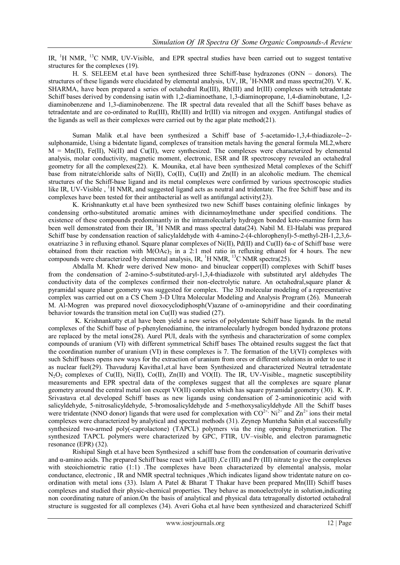IR,  ${}^{1}H$  NMR,  ${}^{13}C$  NMR, UV-Visible, and EPR spectral studies have been carried out to suggest tentative structures for the complexes (19).

H. S. SELEEM et.al have been synthesized three Schiff-base hydrazones (ONN – donors). The structures of these ligands were elucidated by elemental analysis, UV, IR,  ${}^{1}$ H-NMR and mass spectra(20). V. K. SHARMA, have been prepared a series of octahedral Ru(III), Rh(III) and Ir(III) complexes with tetradentate Schiff bases derived by condensing isatin with 1,2-diaminoethane, 1,3-diaminopropane, 1,4-diaminobutane, 1,2 diaminobenzene and 1,3-diaminobenzene. The IR spectral data revealed that all the Schiff bases behave as tetradentate and are co-ordinated to Ru(III), Rh(III) and Ir(III) via nitrogen and oxygen. Antifungal studies of the ligands as well as their complexes were carried out by the agar plate method(21).

Suman Malik et.al have been synthesized a Schiff base of 5-acetamido-1,3,4-thiadiazole--2 sulphonamide, Using a bidentate ligand, complexes of transition metals having the general formula ML2,where  $M = Mn(I)$ , Fe(II), Ni(II) and Cu(II), were synthesized. The complexes were characterized by elemental analysis, molar conductivity, magnetic moment, electronic, ESR and IR spectroscopy revealed an octahedral geometry for all the complexes(22). K. Mounika, et.al have been synthesized Metal complexes of the Schiff base from nitrate/chloride salts of Ni(II), Co(II), Cu(II) and Zn(II) in an alcoholic medium. The chemical structures of the Schiff-base ligand and its metal complexes were confirmed by various spectroscopic studies like IR, UV-Visible, <sup>1</sup>H NMR, and suggested ligand acts as neutral and tridentate. The free Schiff base and its complexes have been tested for their antibacterial as well as antifungal activity(23).

K. Krishnankutty et.al have been synthesized two new Schiff bases containing olefinic linkages by condensing ortho-substituted aromatic amines with dicinnamoylmethane under specified conditions. The existence of these compounds predominantly in the intramolecularly hydrogen bonded keto-enamine form has been well demonstrated from their IR,  ${}^{1}$ H NMR and mass spectral data(24). Nabil M. El-Halabi was prepared Schiff base by condensation reaction of salicylaldehyde with 4-amino-2-(4-chlorophenyl)-5-methyl-2H-1,2,3,6 oxatriazine 3 in refluxing ethanol. Square planar complexes of Ni(II), Pd(II) and Cu(II) 6a-c of Schiff base were obtained from their reaction with  $M(OAc)_2$  in a 2:1 mol ratio in refluxing ethanol for 4 hours. The new compounds were characterized by elemental analysis, IR,  $^1$ H NMR,  $^{13}$ C NMR spectra(25).

 Abdalla M. Khedr were derived New mono- and binuclear copper(II) complexes with Schiff bases from the condensation of 2-amino-5-substituted-aryl-1,3,4-thiadiazole with substituted aryl aldehydes The conductivity data of the complexes confirmed their non-electrolytic nature. An octahedral,square planer & pyramidal square planer geometry was suggested for complex. The 3D molecular modeling of a representative complex was carried out on a CS Chem 3-D Ultra Molecular Modeling and Analysis Program (26). Muneerah M. Al-Mogren was prepared novel dioxocyclodiphosph(V)azane of o-aminopyridine and their coordinating behavior towards the transition metal ion Cu(II) was studied (27).

 K. Krishnankutty et.al have been yield a new series of polydentate Schiff base ligands. In the metal complexes of the Schiff base of p-phenylenediamine, the intramolecularly hydrogen bonded hydrazone protons are replaced by the metal ions(28). Aurel PUI, deals with the synthesis and characterization of some complex compounds of uranium (VI) with different symmetrical Schiff bases The obtained results suggest the fact that the coordination number of uranium (VI) in these complexes is 7. The formation of the U(VI) complexes with such Schiff bases opens new ways for the extraction of uranium from ores or different solutions in order to use it as nuclear fuel(29). Thavuduraj Kavitha1,et.al have been Synthesized and characterized Neutral tetradentate N<sub>2</sub>O<sub>2</sub> complexes of Cu(II), Ni(II), Co(II), Zn(II) and VO(II). The IR, UV-Visible., magnetic susceptibility measurements and EPR spectral data of the complexes suggest that all the complexes are square planar geometry around the central metal ion except VO(II) complex which has square pyramidal geometry (30). K. P. Srivastava et.al developed Schiff bases as new ligands using condensation of 2-aminonicotinic acid with salicyldehyde, 5-nitrosalicyldehyde, 5-bromosalicyldehyde and 5-methoxysalicyldehyde All the Schiff bases were tridentate (NNO donor) ligands that were used for complexation with  $CO^{2+}$ , Ni<sup>2+</sup> and Zn<sup>2+</sup> ions their metal complexes were characterized by analytical and spectral methods (31). Zeynep Munteha Sahin et.al successfully synthesized two-armed poly(-caprolactone) (TAPCL) polymers via the ring opening Polymerization. The synthesized TAPCL polymers were characterized by GPC, FTIR, UV–visible, and electron paramagnetic resonance (EPR) (32).

Rishipal Singh et.al have been Synthesized a schiff base from the condensation of coumarin derivative and α-amino acids. The prepared Schiff base react with La(III) ,Ce (III) and Pr (III) nitrate to give the complexes with steoichiometric ratio (1:1) .The complexes have been characterized by elemental analysis, molar conductance, electronic , IR and NMR spectral techniques ,Which indicates ligand show tridentate nature on coordination with metal ions (33). Islam A Patel & Bharat T Thakar have been prepared Mn(III) Schiff bases complexes and studied their physic-chemical properties. They behave as monoelectrolyte in solution,indicating non coordinating nature of anion.On the basis of analytical and physical data tetragonally distorted octahedral structure is suggested for all complexes (34). Averi Goha et.al have been synthesized and characterized Schiff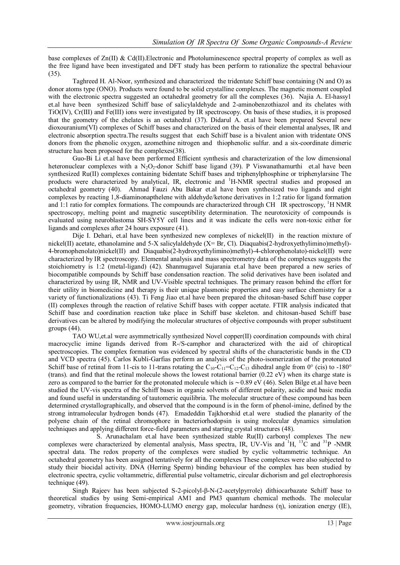base complexes of Zn(II) & Cd(II).Electronic and Photoluminescence spectral property of complex as well as the free ligand have been investigated and DFT study has been perform to rationalize the spectral behaviour (35).

Taghreed H. Al-Noor, synthesized and characterized the tridentate Schiff base containing (N and O) as donor atoms type (ONO). Products were found to be solid crystalline complexes. The magnetic moment coupled with the electronic spectra suggested an octahedral geometry for all the complexes (36). Najia A. El-hassy1 et.al have been synthesized Schiff base of salicylaldehyde and 2-aminobenzothiazol and its chelates with TiO(IV), Cr(III) and Fe(III) ions were investigated by IR spectroscopy. On basis of these studies, it is proposed that the geometry of the chelates is an octahedral (37). Didarul A. et.al have been prepared Several new dioxouranium(VI) complexes of Schiff bases and characterized on the basis of their elemental analyses, IR and electronic absorption spectra.The results suggest that each Schiff base is a bivalent anion with tridentate ONS donors from the phenolic oxygen, azomethine nitrogen and thiophenolic sulfur. and a six-coordinate dimeric structure has been proposed for the complexes(38).

 Guo-Bi Li et.al have been performed Efficient synthesis and characterization of the low dimensional heteronuclear complexes with a N<sub>2</sub>O<sub>2</sub>-donor Schiff base ligand (39). P Viswanathamurthi et.al have been synthesized Ru(II) complexes containing bidentate Schiff bases and triphenylphosphine or triphenylarsine The products were characterized by analytical, IR, electronic and <sup>1</sup>H-NMR spectral studies and proposed an octahedral geometry (40). Ahmad Fauzi Abu Bakar et.al have been synthesized two ligands and eight complexes by reacting 1,8-diaminonapthelene with aldehyde/ketone derivatives in 1:2 ratio for ligand formation and 1:1 ratio for complex formations. The compounds are characterized through CH IR spectroscopy,  ${}^{1}$ H NMR spectroscopy, melting point and magnetic susceptibility determination. The neurotoxicity of compounds is evaluated using neuroblastoma SH-SY5Y cell lines and it was indicate the cells were non-toxic either for ligands and complexes after 24 hours exposure (41).

Dije I. Dehari, et.al have been synthesized new complexes of nickel(II) in the reaction mixture of nickel(II) acetate, ethanolamine and 5-X salicylaldehyde (X= Br, Cl). Diaquabis(2-hydroxyethylimino)methyl)- 4-bromophenolato)nickel(II) and Diaquabis(2-hydroxyethylimino)methyl)-4-chlorophenolato)-nickel(II) were characterized by IR spectroscopy. Elemental analysis and mass spectrometry data of the complexes suggests the stoichiometry is 1:2 (metal-ligand) (42). Shanmugavel Sujarania et.al have been prepared a new series of biocompatible compounds by Schiff base condensation reaction. The solid derivatives have been isolated and characterized by using IR, NMR and UV-Visible spectral techniques. The primary reason behind the effort for their utility in biomedicine and therapy is their unique plasmonic properties and easy surface chemistry for a variety of functionalizations (43). Ti Feng Jiao et.al have been prepared the chitosan-based Schiff base copper (II) complexes through the reaction of relative Schiff bases with copper acetate. FTIR analysis indicated that Schiff base and coordination reaction take place in Schiff base skeleton. and chitosan-based Schiff base derivatives can be altered by modifying the molecular structures of objective compounds with proper substituent groups (44).

TAO WU,et.al were asymmetrically synthesized Novel copper(II) coordination compounds with chiral macrocyclic imine ligands derived from R-/S-camphor and characterized with the aid of chiroptical spectroscopies. The complex formation was evidenced by spectral shifts of the characteristic bands in the CD and VCD spectra (45). Carlos Kubli-Garfias perform an analysis of the photo-isomerization of the protonated Schiff base of retinal from 11-cis to 11-trans rotating the  $C_{10}-C_{11}=C_{12}-C_{13}$  dihedral angle from  $0^{\circ}$  (cis) to -180° (trans). and find that the retinal molecule shows the lowest rotational barrier (0.22 eV) when its charge state is zero as compared to the barrier for the protonated molecule which is ∼0.89 eV (46). Selen Bilge et.al have been studied the UV-vis spectra of the Schiff bases in organic solvents of different polarity, acidic and basic media and found useful in understanding of tautomeric equilibria. The molecular structure of these compound has been determined crystallographically, and observed that the compound is in the form of phenol-imine, defined by the strong intramolecular hydrogen bonds (47). Emadeddin Tajkhorshid et.al were studied the planarity of the polyene chain of the retinal chromophore in bacteriorhodopsin is using molecular dynamics simulation techniques and applying different force-field parameters and starting crystal structures (48).

S. Arunachalam et.al have been synthesized stable Ru(II) carbonyl complexes The new complexes were characterized by elemental analysis, Mass spectra, IR, UV-Vis and  ${}^{1}H$ ,  ${}^{13}C$  and  ${}^{31}P$  -NMR spectral data. The redox property of the complexes were studied by cyclic voltammetric technique. An octahedral geometry has been assigned tentatively for all the complexes These complexes were also subjected to study their biocidal activity. DNA (Herring Sperm) binding behaviour of the complex has been studied by electronic spectra, cyclic voltammetric, differential pulse voltametric, circular dichorism and gel electrophoresis technique (49).

Singh Rajeev has been subjected S-2-picolyl-β-N-(2-acetylpyrrole) dithiocarbazate Schiff base to theoretical studies by using Semi-empirical AM1 and PM3 quantum chemical methods. The molecular geometry, vibration frequencies, HOMO-LUMO energy gap, molecular hardness (η), ionization energy (IE),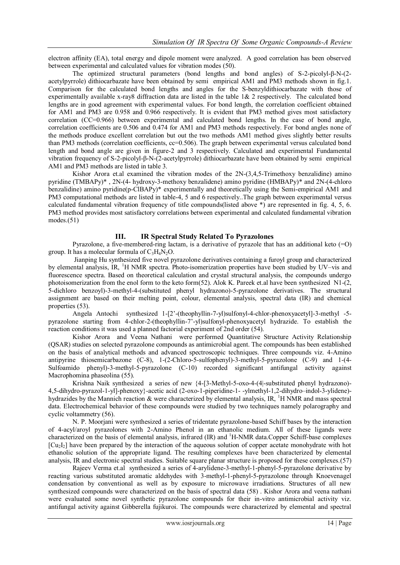electron affinity (EA), total energy and dipole moment were analyzed. A good correlation has been observed between experimental and calculated values for vibration modes (50).

The optimized structural parameters (bond lengths and bond angles) of S-2-picolyl-β-N-(2 acetylpyrrole) dithiocarbazate have been obtained by semi empirical AM1 and PM3 methods shown in fig.1. Comparison for the calculated bond lengths and angles for the S-benzyldithiocarbazate with those of experimentally available x-ray8 diffraction data are listed in the table 1& 2 respectively. The calculated bond lengths are in good agreement with experimental values. For bond length, the correlation coefficient obtained for AM1 and PM3 are 0.958 and 0.966 respectively. It is evident that PM3 method gives most satisfactory correlation (CC=0.966) between experimental and calculated bond lengths. In the case of bond angle, correlation coefficients are 0.506 and 0.474 for AM1 and PM3 methods respectively. For bond angles none of the methods produce excellent correlation but out the two methods AM1 method gives slightly better results than PM3 methods (correlation coefficients, cc=0.506). The graph between experimental versus calculated bond length and bond angle are given in figure-2 and 3 respectively. Calculated and experimental Fundamental vibration frequency of S-2-picolyl-β-N-(2-acetylpyrrole) dithiocarbazate have been obtained by semi empirical AM1 and PM3 methods are listed in table 3.

Kishor Arora et.al examined the vibration modes of the 2N-(3,4,5-Trimethoxy benzalidine) amino pyridine (TMBAPy)\* , 2N-(4- hydroxy-3-methoxy benzalidene) amino pyridine (HMBAPy)\* and 2N-(4-chloro benzalidine) amino pyridine(p-ClBAPy)\* experimentally and theoretically using the Semi-empirical AM1 and PM3 computational methods are listed in table-4, 5 and 6 respectively..The graph between experimental versus calculated fundamental vibration frequency of title compounds(listed above \*) are represented in fig. 4, 5, 6. PM3 method provides most satisfactory correlations between experimental and calculated fundamental vibration  $modes.(51)$ 

#### **III. IR Spectral Study Related To Pyrazolones**

Pyrazolone, a five-membered-ring [lactam,](http://en.wikipedia.org/wiki/Lactam) is a derivative of [pyrazole](http://en.wikipedia.org/wiki/Pyrazole) that has an additional [keto](http://en.wikipedia.org/wiki/Keto) (=O) group. It has a molecular formula of  $C_3H_4N_2O$ .

Jianping Hu synthesized five novel pyrazolone derivatives containing a furoyl group and characterized by elemental analysis, IR, <sup>1</sup>H NMR spectra. Photo-isomerization properties have been studied by UV–vis and fluorescence spectra. Based on theoretical calculation and crystal structural analysis, the compounds undergo photoisomerization from the enol form to the keto form(52). Alok K. Pareek et.al have been synthesized N1-(2, 5-dichloro benzoyl)-3-methyl-4-(substituted phenyl hydrazono)-5-pyrazolone derivatives. The structural assignment are based on their melting point, colour, elemental analysis, spectral data (IR) and chemical properties (53).

Angela Antochi synthesized 1-[2'-(theophyllin-7-yl)sulfonyl-4-chlor-phenoxyacetyl]-3-methyl -5 pyrazolone starting from 4-chlor-2-(theophyllin-7'-yl)sulfonyl-phenoxyacetyl hydrazide. To establish the reaction conditions it was used a planned factorial experiment of 2nd order (54).

Kishor Arora and Veena Nathani were performed Quantitative Structure Activity Relationship (QSAR) studies on selected pyrazolone compounds as antimicrobial agent. The compounds has been established on the basis of analytical methods and advanced spectroscopic techniques. Three compounds viz. 4-Amino antipyrine thiosemicarbazone (C-8), 1-(2-Chloro-5-sulfophenyl)-3-methyl-5-pyrazolone (C-9) and 1-(4- Sulfoamido phenyl)-3-methyl-5-pyrazolone (C-10) recorded significant antifungal activity against Macrophomina phaseolina (55).

Krishna Naik synthesized a series of new {4-[3-Methyl-5-oxo-4-(4|-substituted phenyl hydrazono)- 4,5-dihydro-pyrazol-1-yl]-phenoxy}-acetic acid (2-oxo-1-piperidine-1- -ylmethyl-1,2-dihydro–indol-3-ylidene) hydrazides by the Mannich reaction  $\&$  were characterized by elemental analysis, IR,  ${}^{1}$ H NMR and mass spectral data. Electrochemical behavior of these compounds were studied by two techniques namely polarography and cyclic voltammetry (56).

N. P. Moorjani were synthesized a series of tridentate pyrazolone-based Schiff bases by the interaction of 4-acyl/aroyl pyrazolones with 2-Amino Phenol in an ethanolic medium. All of these ligands were characterized on the basis of elemental analysis, infrared (IR) and <sup>1</sup>H-NMR data.Copper Schiff-base complexes  $[Cu<sub>2</sub>]<sub>2</sub>$  have been prepared by the interaction of the aqueous solution of copper acetate monohydrate with hot ethanolic solution of the appropriate ligand. The resulting complexes have been characterized by elemental analysis, IR and electronic spectral studies. Suitable square planar structure is proposed for these complexes.(57)

Rajeev Verma et.al synthesized a series of 4-arylidene-3-methyl-1-phenyl-5-pyrazolone derivative by reacting various substituted aromatic aldehydes with 3-methyl-1-phenyl-5-pyrazolone through Knoevenagel condensation by conventional as well as by exposure to microwave irradiations. Structures of all new synthesized compounds were characterized on the basis of spectral data (58) . Kishor Arora and veena nathani were evaluated some novel synthetic pyrazolone compounds for their in-vitro antimicrobial activity viz. antifungal activity against Gibberella fujikuroi. The compounds were characterized by elemental and spectral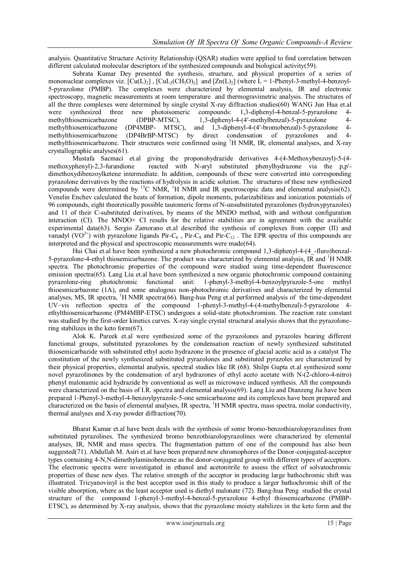analysis. Quantitative Structure Activity Relationship (QSAR) studies were applied to find correlation between different calculated molecular descriptors of the synthesized compounds and biological activity(59).

Subrata Kumar Dey presented the synthesis, structure, and physical properties of a series of mononuclear complexes viz.  $[Cu(L)_2]$ ,  $[CuL_2(CH_3O)_2]$  and  $[Zn(L)_2]$  (where  $L = 1$ -Phenyl-3-methyl-4-benzoyl-5-pyrazolone (PMBP). The complexes were characterized by elemental analysis, IR and electronic spectroscopy, magnetic measurements at room temperature and thermogravimetric analysis. The structures of all the three complexes were determined by single crystal X-ray diffraction studies(60) WANG Jun Hua et.al were synthesized three new photoisomeric compounds: 1,3-diphenyl-4-benzal-5-pyrazolone 4 methylthiosemicarbazone (DPBP-MTSC), 1,3-diphenyl-4-(4′-methylbenzal)-5-pyrazolone 4 methylthiosemicarbazone (DP4MBP- MTSC), and 1,3-diphenyl-4-(4′-bromobenzal)-5-pyrazolone 4 methylthiosemicarbazone (DP4BrBP-MTSC) by direct condensation of pyrazolones and 4 methylthiosemicarbazone. Their structures were confirmed using <sup>1</sup>H NMR, IR, elemental analyses, and X-ray crystallographic analyses(61).

Mustafa Sacmaci et.al giving the proponohydrazide derivatives 4-(4-Methoxybenzoyl)-5-(4 methoxyphenyl)-2,3-furandione reacted with N-aryl substituted phenylhydrazone via the p,p' dimethoxydibenzoylketene intermediate. In addition, compounds of these were converted into corresponding pyrazolone derivatives by the reactions of hydrolysis in acidic solution. The structures of these new synthesized compounds were determined by  ${}^{13}$ C NMR,  ${}^{1}$ H NMR and IR spectroscopic data and elemental analysis(62). Venelin Enchev calculated the heats of formation, dipole moments, polarizabilities and ionization potentials of 96 compounds, eight theoretically possible tautomeric forms of N-unsubstituted pyrazolones (hydroxypyrazoles) and 11 of their C-substituted derivatives, by means of the MNDO method, with and without configuration interaction (CI). The MNDO+ CI results for the relative stabilities are in agreement with the available experimental data(63). Sergio Zamorano et.al described the synthesis of complexes from copper (II) and vanadyl (VO<sup>2+</sup>) with pyrazolone ligands Pir-C<sub>6</sub>, Pir-C<sub>8</sub> and Pir-C<sub>12</sub>. The EPR spectra of this compounds are interpreted and the physical and spectroscopic measurements were made(64).

Hui Chai et.al have been synthesized a new photochromic compound 1,3-diphenyl-4-(4\_-fluro)benzal-5-pyrazolone-4-ethyl thiosemicarbazone. The product was characterized by elemental analysis, IR and <sup>1</sup>H NMR spectra. The photochromic properties of the compound were studied using time-dependent fluorescence emission spectra(65). Lang Liu et.al have been synthesized a new organic photochromic compound containing pyrazolone-ring photochromic functional unit: 1-phenyl-3-methyl-4-benzoylpyrazole-5-one methyl thioesmicarbazone (1A), and some analogous non-photochromic derivatives and characterized by elemental analyses, MS, IR spectra, <sup>1</sup>H NMR spectra(66). Bang-hua Peng et.al performed analysis of the time-dependent UV–vis reflection spectra of the compound 1-phenyl-3-methyl-4-(4-methylbenzal)-5-pyrazolone 4 ethylthiosemicarbazone (PM4MBP-ETSC) undergoes a solid-state photochromism. The reaction rate constant was studied by the first-order kinetics curves. X-ray single crystal structural analysis shows that the pyrazolonering stabilizes in the keto form(67).

Alok K. Pareek et.al were synthesized some of the pyrazolones and pyrazoles bearing different functional groups, substituted pyrazolones by the condensation reaction of newly synthesized substituted thiosemicarbazide with substituted ethyl aceto hydrazone in the presence of glacial acetic acid as a catalyst The constitution of the newly synthesized substituted pyrazolones and substituted pyrazoles are characterized by their physical properties, elemental analysis, spectral studies like IR (68). Shilpi Gupta et.al synthesized some novel pyrazolinones by the condensation of aryl hydrazones of ethyl aceto acetate with N-(2-chloro-4-nitro) phenyl malonamic acid hydrazide by conventional as well as microwave induced synthesis. All the compounds were characterized on the basis of I.R. spectra and elemental analysis(69). Lang Liu and Dianzeng Jia have been prepared 1-Phenyl-3-methyl-4-benzoylpyrazole-5-one semicarbazone and its complexes have been prepared and characterized on the basis of elemental analyses, IR spectra, <sup>1</sup>H NMR spectra, mass spectra, molar conductivity, thermal analyses and X-ray powder diffraction(70).

Bharat Kumar et.al have been deals with the synthesis of some bromo-benzothiazolopyrazolines from substituted pyrazolines. The synthesized bromo benzothiazolopyrazolines were characterized by elemental analyses, IR, NMR and mass spectra. The fragmentation pattern of one of the compound has also been suggested(71). Abdullah M. Asiri et.al have been prepared new chromophores of the Donor-conjugated-acceptor types containing 4-N,N-dimethylaminobenzene as the donor-conjugated group with different types of acceptors. The electronic spectra were investigated in ethanol and acetonitrile to assess the effect of solvatochromic properties of these new dyes. The relative strength of the acceptor in producing large bathochromic shift was illustrated. Tricyanovinyl is the best acceptor used in this study to produce a larger bathochromic shift of the visible absorption, where as the least acceptor used is diethyl malonate (72). Bang-hua Peng studied the crystal structure of the compound 1-phenyl-3-methyl-4-benzal-5-pyrazolone 4-ethyl thiosemicarbazone (PMBP-ETSC), as determined by X-ray analysis, shows that the pyrazolone moiety stabilizes in the keto form and the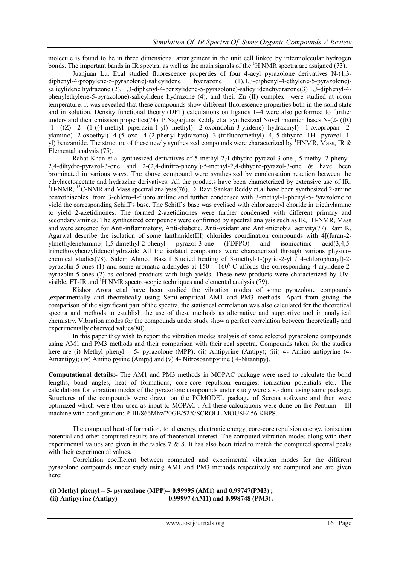molecule is found to be in three dimensional arrangement in the unit cell linked by intermolecular hydrogen bonds. The important bands in IR spectra, as well as the main signals of the  ${}^{1}$ H NMR spectra are assigned (73).

Juanjuan Lu. Et.al studied fluorescence properties of four 4-acyl pyrazolone derivatives N-(1,3-4-propylene-5-pyrazolone)-salicylidene hydrazone (1), 1,3-diphenyl-4-ethylene-5-pyrazolone)diphenyl-4-propylene-5-pyrazolone)-salicylidene hydrazone (1),1,3-diphenyl-4-ethylene-5-pyrazolone) salicylidene hydrazone (2), 1,3-diphenyl-4-benzylidene-5-pyrazolone)-salicylidenehydrazone(3) 1,3-diphenyl-4 phenylethylene-5-pyrazolone)-salicylidene hydrazone (4), and their Zn (II) complex were studied at room temperature. It was revealed that these compounds show different fluorescence properties both in the solid state and in solution. Density functional theory (DFT) calculations on ligands 1–4 were also performed to further understand their emission properties(74). P.Nagarjuna Reddy et.al synthesized Novel mannich bases N-(2- ((R) -1- ((Z) -2- (1-((4-methyl piperazin-1-yl) methyl) -2-oxoindolin-3-ylidene) hydrazinyl) -1-oxopropan -2 ylamino) -2-oxoethyl) -4-(5–oxo –4-(2-phenyl hydrazono) -3-(trifluoromethyl) -4, 5-dihydro -1H –pyrazol -1 yl) benzamide. The structure of these newly synthesized compounds were characterized by <sup>1</sup>HNMR, Mass, IR  $\&$ Elemental analysis (75).

Rahat Khan et.al synthesized derivatives of 5-methyl-2,4-dihydro-pyrazol-3-one , 5-methyl-2-phenyl-2,4-dihydro-pyrazol-3-one and 2-(2,4-dinitro-phenyl)-5-methyl-2,4-dihydro-pyrazol-3-one & have been brominated in various ways. The above compound were synthesized by condensation reaction between the ethylacetoacetate and hydrazine derivatives. All the products have been characterized by extensive use of IR,  $1\text{H-NMR}$ ,  $13\text{C-NMR}$  and Mass spectral analysis(76). D. Ravi Sankar Reddy et.al have been synthesized 2-amino benzothiazoles from 3-chloro-4-fluoro aniline and further condensed with 3-methyl-1-phenyl-5-Pyrazolone to yield the corresponding Schiff's base. The Schiff's base was cyclised with chloroacetyl choride in triethylamine to yield 2-azetidinones. The formed 2-azetidinones were further condensed with different primary and secondary amines. The synthesized compounds were confirmed by spectral analysis such as IR, <sup>1</sup>H-NMR, Mass and were screened for Anti-inflammatory, Anti-diabetic, Anti-oxidant and Anti-microbial activity(77). Ram K. Agarwal describe the isolation of some lanthanide(III) chlorides coordination compounds with 4[(furan-2 ylmethylene)amino]-1,5-dimethyl-2-phenyl pyrazol-3-one (FDPPO) and isonicotinic acid(3,4,5 trimethoxybenzylidene)hydrazide All the isolated compounds were characterized through various physicochemical studies(78). Salem Ahmed Basaif Studied heating of 3-methyl-1-(pyrid-2-yl / 4-chlorophenyl)-2 pyrazolin-5-ones (1) and some aromatic aldehydes at  $150 - 160^{\circ}$  C affords the corresponding 4-arylidene-2pyrazolin-5-ones (2) as colored products with high yields. These new products were characterized by UVvisible, FT-IR and  ${}^{1}$ H NMR spectroscopic techniques and elemental analysis (79).

Kishor Arora et.al have been studied the vibration modes of some pyrazolone compounds ,experimentally and theoretically using Semi-empirical AM1 and PM3 methods. Apart from giving the comparison of the significant part of the spectra, the statistical correlation was also calculated for the theoretical spectra and methods to establish the use of these methods as alternative and supportive tool in analytical chemistry. Vibration modes for the compounds under study show a perfect correlation between theoretically and experimentally observed values(80).

In this paper they wish to report the vibration modes analysis of some selected pyrazolone compounds using AM1 and PM3 methods and their comparison with their real spectra. Compounds taken for the studies here are (i) Methyl phenyl – 5- pyrazolone (MPP); (ii) Antipyrine (Antipy); (iii) 4- Amino antipyrine (4-Amantipy); (iv) Amino pyrine (Ampy) and (v) 4- Nitrosoantipyrine ( 4-Nitantipy).

**Computational details:-** The AM1 and PM3 methods in MOPAC package were used to calculate the bond lengths, bond angles, heat of formations, core-core repulsion energies, ionization potentials etc.. The calculations for vibration modes of the pyrazolone compounds under study were also done using same package. Structures of the compounds were drawn on the PCMODEL package of Serena software and then were optimized which were then used as input to MOPAC . All these calculations were done on the Pentium – III machine with configuration: P-III/866Mhz/20GB/52X/SCROLL MOUSE/ 56 KBPS.

The computed heat of formation, total energy, electronic energy, core-core repulsion energy, ionization potential and other computed results are of theoretical interest. The computed vibration modes along with their experimental values are given in the tables  $7 \& 8$ . It has also been tried to match the computed spectral peaks with their experimental values.

Correlation coefficient between computed and experimental vibration modes for the different pyrazolone compounds under study using AM1 and PM3 methods respectively are computed and are given here:

**(i) Methyl phenyl – 5- pyrazolone (MPP)-- 0.99995 (AM1) and 0.99747(PM3) ;**  (ii) Antipyrine (Antipy) --0.99997 (AM1) and 0.998748 (PM3).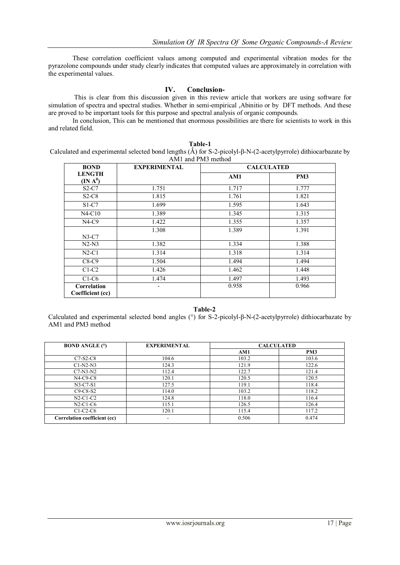These correlation coefficient values among computed and experimental vibration modes for the pyrazolone compounds under study clearly indicates that computed values are approximately in correlation with the experimental values.

#### **IV. Conclusion-**

This is clear from this discussion given in this review article that workers are using software for simulation of spectra and spectral studies. Whether in semi-empirical ,Abinitio or by DFT methods. And these are proved to be important tools for this purpose and spectral analysis of organic compounds.

In conclusion, This can be mentioned that enormous possibilities are there for scientists to work in this and related field.

|  | Table-1                                                                                                        |  |
|--|----------------------------------------------------------------------------------------------------------------|--|
|  | Calculated and experimental selected bond lengths (Å) for S-2-picolyl-β-N-(2-acetylpyrrole) dithiocarbazate by |  |
|  | AM1 and PM3 method                                                                                             |  |
|  |                                                                                                                |  |

| <b>BOND</b>                     | <b>EXPERIMENTAL</b> | <b>CALCULATED</b> |                 |
|---------------------------------|---------------------|-------------------|-----------------|
| <b>LENGTH</b>                   |                     | AM1               | PM <sub>3</sub> |
| (IN A <sup>0</sup> )            |                     |                   |                 |
| $S2-C7$                         | 1.751               | 1.717             | 1.777           |
| $S2-C8$                         | 1.815               | 1.761             | 1.821           |
| S <sub>1</sub> -C <sub>7</sub>  | 1.699               | 1.595             | 1.643           |
| $N4-C10$                        | 1.389               | 1.345             | 1.315           |
| $N4-C9$                         | 1.422               | 1.355             | 1.357           |
|                                 | 1.308               | 1.389             | 1.391           |
| $N3-C7$                         |                     |                   |                 |
| $N2-N3$                         | 1.382               | 1.334             | 1.388           |
| $N2-C1$                         | 1.314               | 1.318             | 1.314           |
| $C8-C9$                         | 1.504               | 1.494             | 1.494           |
| $C1-C2$                         | 1.426               | 1.462             | 1.448           |
| $C1-C6$                         | 1.474               | 1.497             | 1.493           |
| Correlation<br>Coefficient (cc) | ٠                   | 0.958             | 0.966           |

#### **Table-2**

Calculated and experimental selected bond angles (°) for S-2-picolyl-β-N-(2-acetylpyrrole) dithiocarbazate by AM1 and PM3 method

| <b>BOND ANGLE (°)</b>        | <b>EXPERIMENTAL</b>      | <b>CALCULATED</b> |       |
|------------------------------|--------------------------|-------------------|-------|
|                              |                          | AM1               | PM3   |
| $C7-S2-C8$                   | 104.6                    | 103.2             | 103.6 |
| $C1-N2-N3$                   | 124.3                    | 121.9             | 122.6 |
| $C7-N3-N2$                   | 112.4                    | 122.7             | 121.4 |
| $N4-C9-C8$                   | 120.1                    | 120.5             | 120.5 |
| $N3-C7-S1$                   | 127.5                    | 119.1             | 118.4 |
| $C9-C8-S2$                   | 114.0                    | 103.2             | 118.2 |
| $N2-C1-C2$                   | 124.8                    | 118.0             | 116.4 |
| $N2-C1-C6$                   | 115.1                    | 126.5             | 126.4 |
| $C1-C2-C6$                   | 120.1                    | 115.4             | 117.2 |
| Correlation coefficient (cc) | $\overline{\phantom{0}}$ | 0.506             | 0.474 |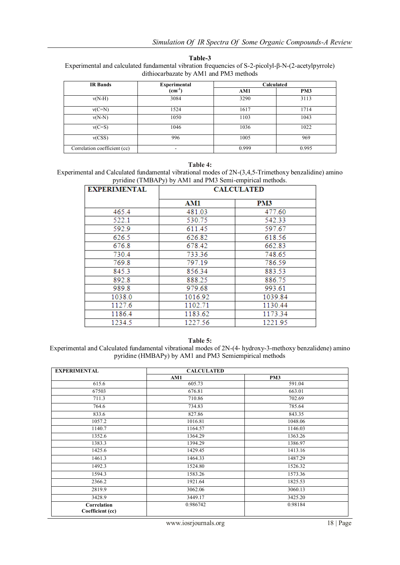| nк<br>т |  |
|---------|--|
|---------|--|

Experimental and calculated fundamental vibration frequencies of S-2-picolyl-β-N-(2-acetylpyrrole) dithiocarbazate by AM1 and PM3 methods

| <b>IR</b> Bands              | <b>Experimental</b> | Calculated |                 |
|------------------------------|---------------------|------------|-----------------|
|                              | $(cm^{-1})$         | AM1        | PM <sub>3</sub> |
| $v(N-H)$                     | 3084                | 3290       | 3113            |
| $v(C=N)$                     | 1524                | 1617       | 1714            |
| $v(N-N)$                     | 1050                | 1103       | 1043            |
| $v(C=S)$                     | 1046                | 1036       | 1022            |
| v(CSS)                       | 996                 | 1005       | 969             |
| Correlation coefficient (cc) | ۰                   | 0.999      | 0.995           |

**Table 4:**

Experimental and Calculated fundamental vibrational modes of 2N-(3,4,5-Trimethoxy benzalidine) amino pyridine (TMBAPy) by AM1 and PM3 Semi-empirical methods.

| <b>EXPERIMENTAL</b> | <b>CALCULATED</b> |         |  |
|---------------------|-------------------|---------|--|
|                     | AM1               | PM3     |  |
| 465.4               | 481.03            | 477.60  |  |
| 522.1               | 530.75            | 542.33  |  |
| 592.9               | 611.45            | 597.67  |  |
| 626.5               | 626.82            | 618.56  |  |
| 676.8               | 678.42            | 662.83  |  |
| 730.4               | 733.36            | 748.65  |  |
| 769.8               | 797.19            | 786.59  |  |
| 845.3               | 856.34            | 883.53  |  |
| 892.8               | 888.25            | 886.75  |  |
| 989.8               | 979.68            | 993.61  |  |
| 1038.0              | 1016.92           | 1039.84 |  |
| 1127.6              | 1102.71           | 1130.44 |  |
| 1186.4              | 1183.62           | 1173.34 |  |
| 1234.5              | 1227.56           | 1221.95 |  |

**Table 5:**

Experimental and Calculated fundamental vibrational modes of 2N-(4- hydroxy-3-methoxy benzalidene) amino pyridine (HMBAPy) by AM1 and PM3 Semiempirical methods

| <b>EXPERIMENTAL</b>             | <b>CALCULATED</b> |         |
|---------------------------------|-------------------|---------|
|                                 | AM1               | PM3     |
| 615.6                           | 605.73            | 591.04  |
| 67503                           | 676.81            | 663.01  |
| 711.3                           | 710.86            | 702.69  |
| 764.6                           | 734.83            | 785.64  |
| 833.6                           | 827.86            | 843.35  |
| 1057.2                          | 1016.81           | 1048.06 |
| 1140.7                          | 1164.57           | 1146.03 |
| 1352.6                          | 1364.29           | 1363.26 |
| 1383.3                          | 1394.29           | 1386.97 |
| 1425.6                          | 1429.45           | 1413.16 |
| 1461.3                          | 1464.33           | 1487.29 |
| 1492.3                          | 1524.80           | 1526.32 |
| 1594.3                          | 1583.26           | 1573.36 |
| 2366.2                          | 1921.64           | 1825.53 |
| 2819.9                          | 3062.06           | 3060.13 |
| 3428.9                          | 3449.17           | 3425.20 |
| Correlation<br>Coefficient (cc) | 0.986742          | 0.98184 |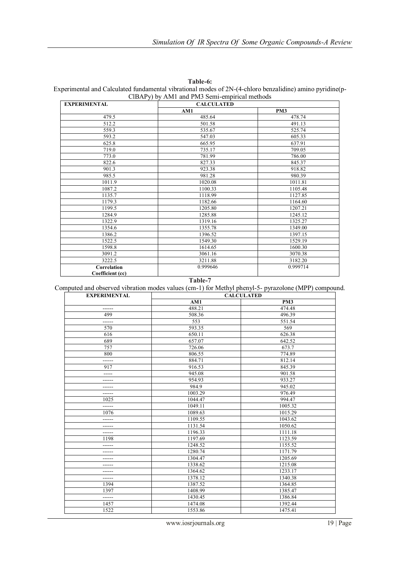| <b>EXPERIMENTAL</b>             | <b>CALCULATED</b> |                 |
|---------------------------------|-------------------|-----------------|
|                                 | AM1               | PM <sub>3</sub> |
| 479.5                           | 485.64            | 478.74          |
| 512.2                           | 501.58            | 491.13          |
| 559.3                           | 535.67            | 525.74          |
| 593.2                           | 547.03            | 605.33          |
| 625.8                           | 665.95            | 637.91          |
| 719.0                           | 735.17            | 709.05          |
| 773.0                           | 781.99            | 786.00          |
| 822.6                           | 827.33            | 845.37          |
| 901.3                           | 923.38            | 918.82          |
| 985.5                           | 981.28            | 980.39          |
| 1011.9                          | 1020.08           | 1011.81         |
| 1087.2                          | 1100.33           | 1105.48         |
| 1135.7                          | 1118.99           | 1127.85         |
| 1179.3                          | 1182.66           | 1164.60         |
| 1199.5                          | 1205.80           | 1207.21         |
| 1284.9                          | 1285.88           | 1245.12         |
| 1322.9                          | 1319.16           | 1325.27         |
| 1354.6                          | 1355.78           | 1349.00         |
| 1386.2                          | 1396.52           | 1397.15         |
| 1522.5                          | 1549.30           | 1529.19         |
| 1598.8                          | 1614.65           | 1600.30         |
| 3091.2                          | 3061.16           | 3070.38         |
| 3222.5                          | 3211.88           | 3182.20         |
| Correlation<br>Coefficient (cc) | 0.999646          | 0.999714        |

**Table-6:** Experimental and Calculated fundamental vibrational modes of 2N-(4-chloro benzalidine) amino pyridine(p-ClBAPy) by AM1 and PM3 Semi-empirical methods

**Table-7**

Computed and observed vibration modes values (cm-1) for Methyl phenyl-5- pyrazolone (MPP) compound.

| <b>EXPERIMENTAL</b> | $\sim$<br><b>CALCULATED</b> |                 |
|---------------------|-----------------------------|-----------------|
|                     | AM1                         | PM <sub>3</sub> |
| ------              | 488.21                      | 474.48          |
| 499                 | 508.36                      | 496.39          |
| ------              | 553                         | 551.54          |
| 570                 | 593.35                      | 569             |
| 616                 | 650.11                      | 626.38          |
| 689                 | 657.07                      | 642.52          |
| 757                 | 726.06                      | 673.7           |
| 800                 | 806.55                      | 774.89          |
|                     | 884.71                      | 812.14          |
| 917                 | 916.53                      | 845.39          |
| -----               | 945.08                      | 901.58          |
| ------              | 954.93                      | 933.27          |
| ------              | 984.9                       | 945.02          |
| $- - - - - -$       | 1003.29                     | 976.49          |
| 1025                | 1044.47                     | 994.47          |
| ------              | 1049.11                     | 1005.32         |
| 1076                | 1089.63                     | 1015.29         |
|                     | 1109.55                     | 1043.62         |
| ------              | 1131.54                     | 1050.62         |
| ------              | 1196.33                     | 1111.18         |
| 1198                | 1197.69                     | 1123.59         |
| ------              | 1248.52                     | 1155.52         |
| $- - - - - -$       | 1280.74                     | 1171.79         |
| ------              | 1304.47                     | 1205.69         |
|                     | 1338.62                     | 1215.08         |
| ------              | 1364.62                     | 1233.17         |
| ------              | 1378.12                     | 1340.38         |
| 1394                | 1387.52                     | 1364.85         |
| 1397                | 1408.99                     | 1385.47         |
| ------              | 1430.45                     | 1386.84         |
| 1457                | 1474.08                     | 1392.44         |
| 1522                | 1553.86                     | 1475.41         |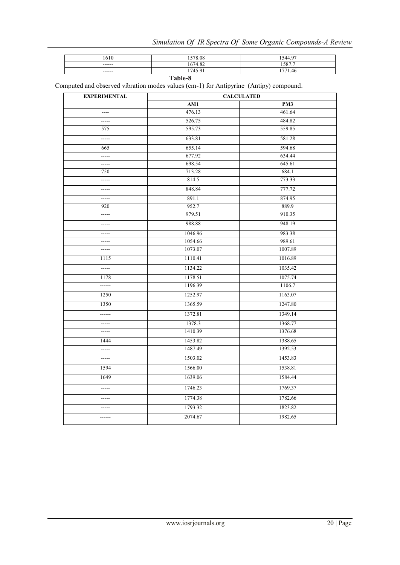| 1610    | 1578.08 | 1544.97 |
|---------|---------|---------|
| ------  | 1674.82 | 1587.7  |
| ------  | 1745.91 | 1771.46 |
| Table-8 |         |         |

| ۰.<br>I<br>v<br>۰.<br>۰.<br>v<br>۰.<br>× |  |
|------------------------------------------|--|
|------------------------------------------|--|

Computed and observed vibration modes values (cm-1) for Antipyrine (Antipy) compound.

| <b>EXPERIMENTAL</b> | <b>CALCULATED</b> |         |
|---------------------|-------------------|---------|
|                     | AM1               | PM3     |
| ----                | 476.13            | 461.64  |
| $---$               | 526.75            | 484.82  |
| 575                 | 595.73            | 559.85  |
| $---$               | 633.81            | 581.28  |
| 665                 | 655.14            | 594.68  |
| -----               | 677.92            | 634.44  |
| $-----$             | 698.54            | 645.61  |
| 750                 | 713.28            | 684.1   |
| $-----1$            | 814.5             | 773.33  |
| -----               | 848.84            | 777.72  |
| $-----$             | 891.1             | 874.95  |
| 920                 | 952.7             | 889.9   |
| $---$               | 979.51            | 910.35  |
| -----               | 988.88            | 948.19  |
| -----               | 1046.96           | 983.38  |
| $- - - - -$         | 1054.66           | 989.61  |
| $-----1$            | 1073.07           | 1007.89 |
| 1115                | 1110.41           | 1016.89 |
| -----               | 1134.22           | 1035.42 |
| 1178                | 1178.51           | 1075.74 |
| ------              | 1196.39           | 1106.7  |
| 1250                | 1252.97           | 1163.07 |
| 1350                | 1365.59           | 1247.80 |
| ------              | 1372.81           | 1349.14 |
| $-----$             | 1378.3            | 1368.77 |
| $-----$             | 1410.39           | 1376.68 |
| 1444                | 1453.82           | 1388.65 |
| $-----1$            | 1487.49           | 1392.53 |
| $- - - - -$         | 1503.02           | 1453.83 |
| 1594                | 1566.00           | 1538.81 |
| 1649                | 1639.06           | 1584.44 |
| $--- -$             | 1746.23           | 1769.37 |
| -----               | 1774.38           | 1782.66 |
| $-----1$            | 1793.32           | 1823.82 |
| ------              | 2074.67           | 1982.65 |
|                     |                   |         |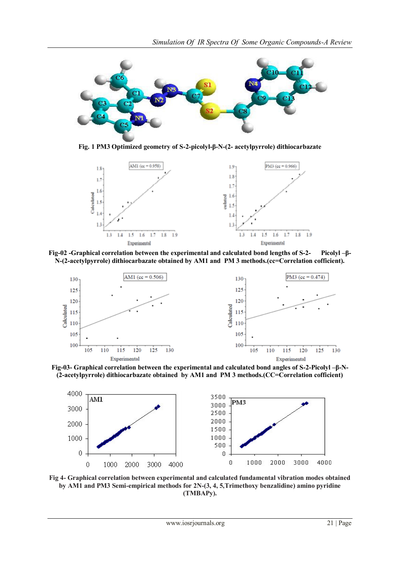

**Fig. 1 PM3 Optimized geometry of S-2-picolyl-β-N-(2- acetylpyrrole) dithiocarbazate**



**Fig-02 -Graphical correlation between the experimental and calculated bond lengths of S-2- Picolyl –β-N-(2-acetylpyrrole) dithiocarbazate obtained by AM1 and PM 3 methods.(cc=Correlation cofficient).**



**Fig-03- Graphical correlation between the experimental and calculated bond angles of S-2-Picolyl –β-N- (2-acetylpyrrole) dithiocarbazate obtained by AM1 and PM 3 methods.(CC=Correlation cofficient)**



**Fig 4- Graphical correlation between experimental and calculated fundamental vibration modes obtained by AM1 and PM3 Semi-empirical methods for 2N-(3, 4, 5,Trimethoxy benzalidine) amino pyridine (TMBAPy).**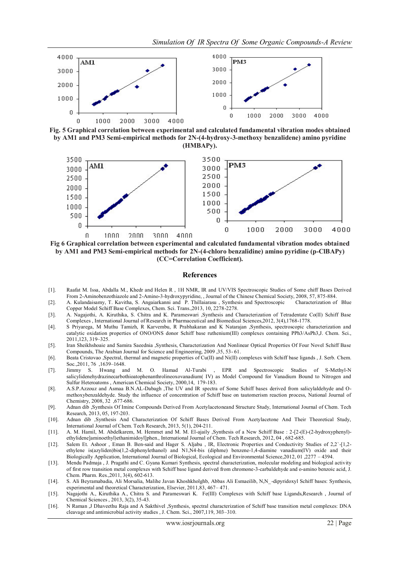

**Fig. 5 Graphical correlation between experimental and calculated fundamental vibration modes obtained by AM1 and PM3 Semi-empirical methods for 2N-(4-hydroxy-3-methoxy benzalidene) amino pyridine (HMBAPy).**



**Fig 6 Graphical correlation between experimental and calculated fundamental vibration modes obtained by AM1 and PM3 Semi-empirical methods for 2N-(4-chloro benzalidine) amino pyridine (p-ClBAPy) (CC=Correlation Coefficient).**

#### **References**

- [1]. Raafat M. Issa, Abdalla M., Khedr and Helen R , 1H NMR, IR and UV/VIS Spectroscopic Studies of Some chiff Bases Derived From 2-Aminobenzothiazole and 2-Amino-3-hydroxypyridine, , Journal of the Chinese Chemical Society, 2008, 57, 875-884.
- [2]. A. Kulandaisamy, T. Kavitha, S. Angaiarkanni and P. Thillaiarasu , Synthesis and Spectroscopic Characterization of Blue Copper Model Schiff Base Complexes, Chem. Sci. Trans.,2013, 10, 2278-2278.
- [3]. A. Nagajothi, A. Kiruthika, S. Chitra and K. Parameswari ,Synthesis and Characterization of Tetradentate Co(II) Schiff Base Complexes , International Journal of Research in Pharmaceutical and Biomedical Sciences,2012, 3(4),1768-1778.
- [4]. S Priyarega, M Muthu Tamizh, R Karvembu, R Prabhakaran and K Natarajan ,Synthesis, spectroscopic characterization and catalytic oxidation properties of ONO/ONS donor Schiff base ruthenium(III) complexes containing PPh3/AsPh3,J. Chem. Sci., 2011,123, 319–325.
- [5]. Iran Sheikhshoaie and Samira Saeednia ,Synthesis, Characterization And Nonlinear Optical Properties Of Four Novel Schiff Base Compounds, The Arabian Journal for Science and Engineering, 2009 ,35, 53- 61.
- [6]. Beata Cristovao ,Spectral, thermal and magnetic properties of Cu(II) and Ni(II) complexes with Schiff base ligands , J. Serb. Chem. Soc.,2011, 76 ,1639–1648.
- [7]. Jimmy S. Hwang and M. O. Hamad Al-Turabi , EPR and Spectroscopic Studies of S-Methyl-N salicylidenehydrazinecarbothioatophenanthrolineoxovanadium( IV) as Model Compound for Vanadium Bound to Nitrogen and Sulfur Heteroatoms , American Chemical Society, 2000,14, 179-183.
- [8]. A.S.P.Azzouz and Asmaa B.N.AL-Dabagh ,The UV and IR spectra of Some Schiff bases derived from salicylaldehyde and Omethoxybenzaldehyde. Study the influence of concentration of Schiff base on tautomerism reaction process, National Journal of Chemistry, 2008, 32 ,677-686.
- [9]. Adnan dib ,Synthesis Of Imine Compounds Derived From Acetylacetoneand Structure Study, International Journal of Chem. Tech Research, 2013, 05, 197-203.
- [10]. Adnan dib ,Synthesis And Characterization Of Schiff Bases Derived From Acetylacetone And Their Theoretical Study, International Journal of Chem. Tech Research, 2013, 5(1), 204-211.
- [11]. A. M. Hamil, M. Abdelkarem, M. Hemmet and M. M. El-ajaily ,Synthesis of a New Schiff Base : 2-[2-(E)-(2-hydroxyphenyl) ethylidene]aminoethyl)ethanimidoyl]phen., International Journal of Chem. Tech Research, 2012, 04 , 682-685.
- [12]. Salem Et. Ashoor , Eman B. Ben-said and Hager S. Aljabu , IR, Electronic Properties and Conductivity Studies of 2,2`-[1,2 ethylene is(azyliden)bis(1,2-diphenylethanol) and N1,N4-bis (diphme) benzene-1,4-diamine vanadium(IV) oxide and their Biologically Application, International Journal of Biological, Ecological and Environmental Science,2012, 01 ,2277 – 4394.
- [13]. Mendu Padmaja , J. Pragathi and C. Gyana Kumari Synthesis, spectral characterization, molecular modeling and biological activity of first row transition metal complexes with Schiff base ligand derived from chromone-3-carbaldehyde and o-amino benzoic acid, J. Chem. Pharm. Res.,2011, 3(4), 602-613.
- [14]. S. Ali Beyramabadia, Ali Morsalia, Malihe Javan Khoshkholghb, Abbas Ali Esmaeilib, N,N\_-dipyridoxyl Schiff bases: Synthesis, experimental and theoretical Characterization, Elsevier, 2011,83, 467– 471.
- [15]. Nagajothi A., Kiruthika A., Chitra S. and Parameswari K. Fe(III) Complexes with Schiff base Ligands,Research , Journal of Chemical Sciences , 2013, 3(2), 35-43.
- [16]. N Raman ,J Dhaveethu Raja and A Sakthivel ,Synthesis, spectral characterization of Schiff base transition metal complexes: DNA cleavage and antimicrobial activity studies , J. Chem. Sci., 2007,119, 303–310.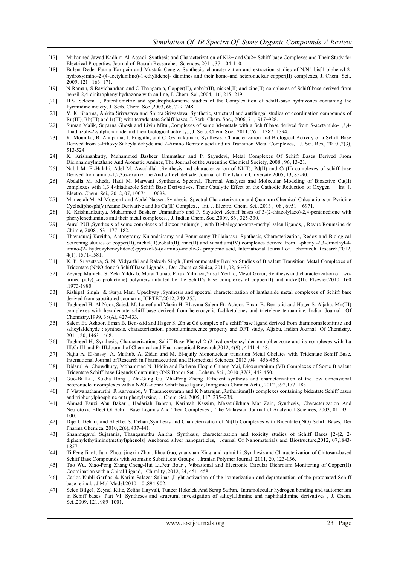- [17]. Muhanned Jawad Kadhim Al-Assadi, Synthesis and Characterization of Ni2+ and Cu2+ Schiff-base Complexes and Their Study for Electrical Properties, Journal of Basrah Researches Sciences, 2011, 37, 104-110.
- [18]. Bulent Dede, Fatma Karipcin and Mustafa Cengiz, Synthesis, characterization and extraction studies of N,N″ -bis[1-biphenyl-2 hydroxyimino-2-(4-acetylanilino)-1-ethylidene]- diamines and their homo-and heteronuclear copper(II) complexes, J. Chem. Sci., 2009, 121 , 163–171.
- [19]. N Raman, S Ravichandran and C Thangaraja, Copper(II), cobalt(II), nickel(II) and zinc(II) complexes of Schiff base derived from benzil-2,4-dinitrophenylhydrazone with aniline, J. Chem. Sci.,2004,116, 215–219.
- [20]. H.S. Seleem , Potentiometric and spectrophotometric studies of the Complexation of schiff-base hydrazones containing the Pyrimidine moiety, J. Serb. Chem. Soc.,2003, 68, 729–748.
- [21]. V. K. Sharma, Ankita Srivastava and Shipra Srivastava, Synthetic, structural and antifungal studies of coordination compounds of Ru(III), Rh(III) and Ir(III) with tetradentate Schiff bases, J. Serb. Chem. Soc., 2006, 71, 917–928.
- [22]. Suman Malik, Suparna Ghosh and Liviu Mitu ,Complexes of some 3d-metals with a Schiff base derived from 5-acetamido-1,3,4 thiadiazole-2-sulphonamide and their biological activity,., J. Serb. Chem. Soc., 2011, 76 , 1387–1394.
- [23]. K. Mounika, B. Anupama, J. Pragathi, and C. Gyanakumari, Synthesis, Characterization and Biological Activity of a Schiff Base Derived from 3-Ethoxy Salicylaldehyde and 2-Amino Benzoic acid and its Transition Metal Complexes, J. Sci. Res., 2010 ,2(3), 513-524.
- [24]. K. Krishnankutty, Muhammed Basheer Ummathur and P. Sayudevi, Metal Complexes Of Schiff Bases Derived From Dicinnamoylmethane And Aromatic Amines, The Journal of the Argentine Chemical Society, 2008 , 96, 13-21.
- [25]. Nabil M. El-Halabi, Adel M. Awadallah ,Synthesis and characterization of NI(II), Pd(II) and Cu(II) complexes of schiff base Derived from amino-1,2,3,6-oxatrizaine And salicyladehyde, Journal of The Islamic University,2005, 13, 85-90.
- [26]. Abdalla M. Khedr, Hadi M. Marwani ,Synthesis, Spectral, Thermal Analyses and Molecular Modeling of Bioactive Cu(II) complexes with 1,3,4-thiadiazole Schiff Base Derivatives. Their Catalytic Effect on the Cathodic Reduction of Oxygen , Int. J. Electro. Chem. Sci., 2012, 07, 10074 – 10093.
- [27]. Muneerah M. Al-Mogren1 and Abdel-Nasser ,Synthesis, Spectral Characterization and Quantum Chemical Calculations on Pyridine Cyclodiphosph(V)Azane Derivative and Its Cu(II) Complex, , Int. J. Electro. Chem. Sci., 2013 , 08 , 6951 – 6971.
- [28]. K. Krishnankuttya, Muhammed Basheer Ummathurb and P. Sayudevi ,Schiff bases of 3-(2-thiazolylazo)-2,4-pentanedione with phenylenediamines and their metal complexes, , J. Indian Chem. Soc.,2009, 86 , 325-330.
- [29]. Aurel PUI ,Synthesis of some complexes of dioxouranium(vi) with Di-halogeno-tetra-methyl salen ligands, , Revue Roumaine de Chimie, 2008 , 53 , 177–182.
- [30]. Thavuduraj Kavitha, Antonysamy Kulandaisamy and Ponnusamy.Thillaiarasu, Synthesis, Characterization, Redox and Biological Screening studies of copper(II), nickel(II),cobalt(II), zinc(II) and vanadium(IV) complexes derived from 1-phenyl-2,3-dimethyl-4imino-(2- hydroxybenzylidene)-pyrozol-5-(α-imino)-indole-3- propionic acid, International Journal of chemtech Research,2012, 4(1), 1571-1581.
- [31]. K. P. Srivastava, S. N. Vidyarthi and Rakesh Singh ,Environmentally Benign Studies of Bivalent Transition Metal Complexes of Tridentate (NNO donor) Schiff Base Ligands , Der Chemica Sinica, 2011 ,02, 66-76.
- [32]. Zeynep Munteha S, Zeki Yıldız b, Murat Tunab, Faruk Yılmaza,Yusuf Yerli c, Mesut Gorur, Synthesis and characterization of twoarmed poly(\_-caprolactone) polymers initiated by the Schiff's base complexes of copper(II) and nickel(II). Elsevier,2010, 160 ,1973-1980.
- [33]. Rishipal Singh & Surya Mani Upadhyay ,Synthesis and spectral characterization of lanthanide metal complexes of Schiff base derived from substituted coumarin, ICRTET,2012, 249-255.
- [34]. Taghreed H. Al-Noor, Sajed. M. Lateef and Mazin H. Rhayma Salem Et. Ashoor, Eman B. Ben-said and Hager S. Aljabu, Mn(III) complexes with hexadentate schiff base derived from heterocyclic ß-diketolones and trietylene tetraamine. Indian Journal Of Chemistry,1999, 38(A), 427-433.
- [35]. Salem Et. Ashoor, Eman B. Ben-said and Hager S. ,Zn & Cd complex of a schiff base ligand derived from diaminomaleonitrite and salicylaldehyde : synthesis, characterization, photoluminescence property and DFT study, Aljabu, Indian Journal Of Chemistry, 2011, 50, 1463-1468.
- [36]. Taghreed H, Synthesis, Characterization, Schiff Base Phenyl 2-(2-hydroxybenzylidenamino)benzoate and its complexes with La III,Cr III and Pr III,Journal of Chemical and Pharmaceutical Research,2012, 4(9) , 4141-4148.
- [37]. Najia A. El-hassy, A. Maihub, A. Zidan and M. El-ajaily Mononuclear transition Metal Chelates with Tridentate Schiff Base, International Journal of Research in Pharmaceutical and Biomedical Sciences, 2013 ,04 , 456-458.
- [38]. Didarul A. Chowdhury, Mohammad N. Uddin and Farhana Hoque Chiang Mai, Dioxouranium (VI) Complexes of Some Bivalent Tridentate Schiff-base Ligands Containing ONS Donor Set, , J.chem. Sci., 2010 ,37(3),443-450.
- [39]. Guo-Bi Li , Xu-Jia Hong , Zhi-Gang Gu, Zhi-Peng Zheng ,Efficient synthesis and characterization of the low dimensional heteronuclear complexes with a N2O2-donor Schiff base ligand, Inorganica Chimica Acta., 2012 ,392,177–183.
- [40]. P Viswanathamurthi, R Karvembu, V Tharaneeswaran and K Natarajan ,Ruthenium(II) complexes containing bidentate Schiff bases and triphenylphosphine or triphenylarsine, J. Chem. Sci.,2005, 117, 235–238.
- [41]. Ahmad Fauzi Abu Bakar1, Hadariah Bahron, Karimah Kassim, Mazatulikhma Mat Zain, Synthesis, Characterization And Neurotoxic Effect Of Schiff Base Ligands And Their Complexes , The Malaysian Journal of Analytical Sciences, 2003, 01, 93 – 100.
- [42]. Dije I. Dehari, and Shefket S. Dehari,Synthesis and Characterization of Ni(II) Complexes with Bidentate (NO) Schiff Bases, Der Pharma Chemica, 2010, 2(6), 437-441.
- [43]. Shanmugavel Sujarania, Thangamuthu Anitha, Synthesis, characterization and toxicity studies of Schiff Bases [2-(2, 2 diphenylethylimino)methyl)phenols] Anchored silver nanoparticles, Journal Of Nanomaterials and Biostructure,2012, 07,1843- 1857.
- [44]. Ti Feng Jiao1, Juan Zhou, jingxin Zhou, lihua Gao, yuanyuan Xing, and xuhui Li ,Synthesis and Characterization of Chitosan-based Schiff Base Compounds with Aromatic Substituent Groups , Iranian Polymer Journal, 2011, 20, 123-136.
- [45]. Tao Wu, Xiao-Peng Zhang,Cheng-Hui Li,Petr Bour , Vibrational and Electronic Circular Dichroism Monitoring of Copper(II) Coordination with a Chiral Ligand, , Chirality ,2012, 24, 451–458.
- [46]. Carlos Kubli-Garfias & Karim Salazar-Salinas ,Light activation of the isomerization and deprotonation of the protonated Schiff base retinal, , J Mol Model,2010, 10 ,894-902.
- [47]. Selen Bilge1, Zeynel Kilic, Zeliha Hayvali, Tuncer Hokelek And Serap Safran, Intramolecular hydrogen bonding and tautomerism in Schiff bases: Part VI. Syntheses and structural investigation of salicylaldimine and naphthaldimine derivatives , J. Chem. Sci.,2009, 121, 989–1001,.